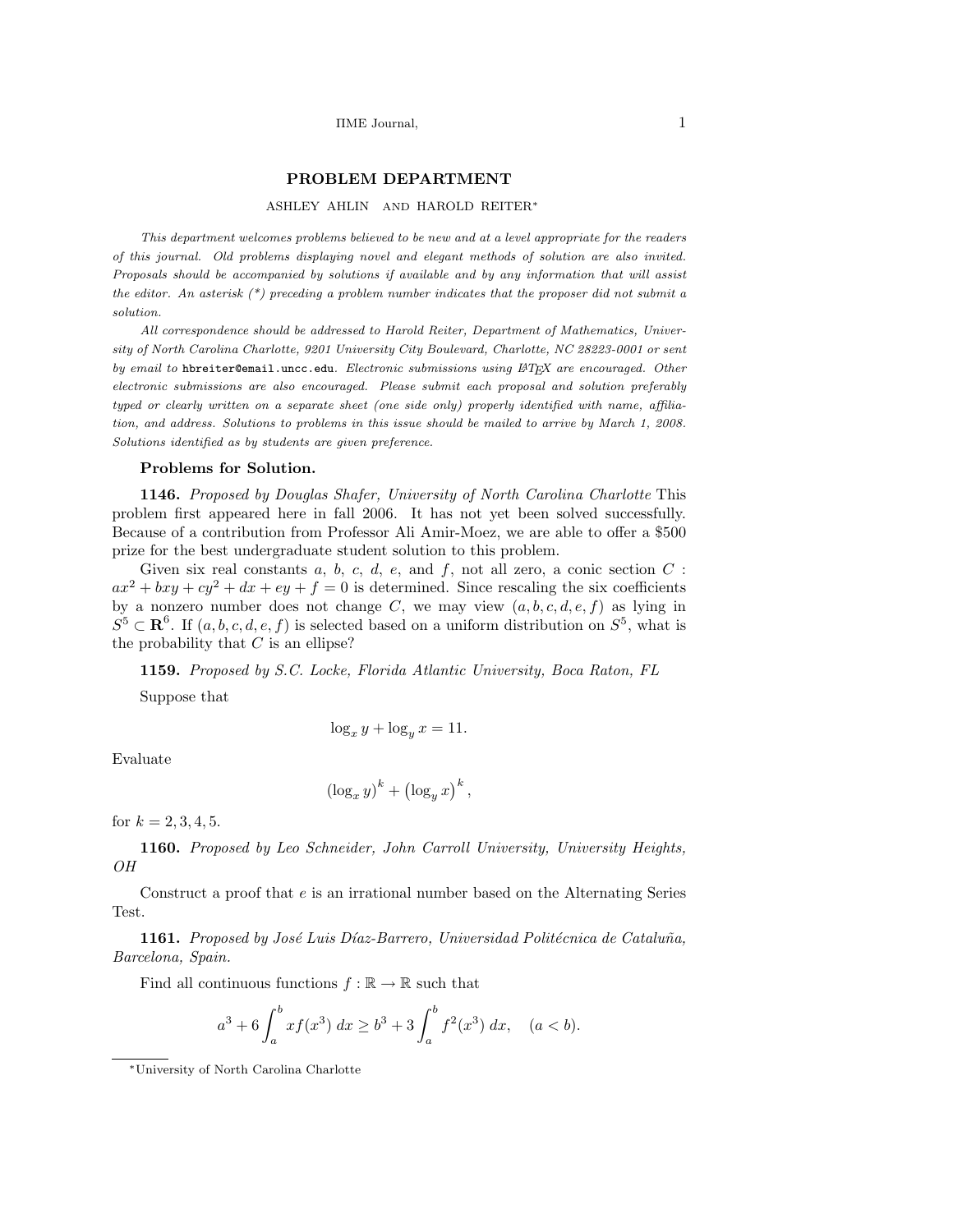### PROBLEM DEPARTMENT

#### ASHLEY AHLIN AND HAROLD REITER<sup>∗</sup>

This department welcomes problems believed to be new and at a level appropriate for the readers of this journal. Old problems displaying novel and elegant methods of solution are also invited. Proposals should be accompanied by solutions if available and by any information that will assist the editor. An asterisk  $(*)$  preceding a problem number indicates that the proposer did not submit a solution.

All correspondence should be addressed to Harold Reiter, Department of Mathematics, University of North Carolina Charlotte, 9201 University City Boulevard, Charlotte, NC 28223-0001 or sent by email to hbreiter@email.uncc.edu. Electronic submissions using  $\mathbb{A} TEX$  are encouraged. Other electronic submissions are also encouraged. Please submit each proposal and solution preferably typed or clearly written on a separate sheet (one side only) properly identified with name, affiliation, and address. Solutions to problems in this issue should be mailed to arrive by March 1, 2008. Solutions identified as by students are given preference.

#### Problems for Solution.

1146. Proposed by Douglas Shafer, University of North Carolina Charlotte This problem first appeared here in fall 2006. It has not yet been solved successfully. Because of a contribution from Professor Ali Amir-Moez, we are able to offer a \$500 prize for the best undergraduate student solution to this problem.

Given six real constants  $a, b, c, d, e$ , and  $f$ , not all zero, a conic section  $C$ :  $ax^2 + bxy + cy^2 + dx + ey + f = 0$  is determined. Since rescaling the six coefficients by a nonzero number does not change C, we may view  $(a, b, c, d, e, f)$  as lying in  $S^5 \subset \mathbf{R}^6$ . If  $(a, b, c, d, e, f)$  is selected based on a uniform distribution on  $S^5$ , what is the probability that  $C$  is an ellipse?

1159. Proposed by S.C. Locke, Florida Atlantic University, Boca Raton, FL Suppose that

$$
\log_x y + \log_y x = 11.
$$

Evaluate

$$
\left(\log_x y\right)^k + \left(\log_y x\right)^k
$$

,

for  $k = 2, 3, 4, 5$ .

1160. Proposed by Leo Schneider, John Carroll University, University Heights, OH

Construct a proof that e is an irrational number based on the Alternating Series Test.

1161. Proposed by José Luis Díaz-Barrero, Universidad Politécnica de Cataluña, Barcelona, Spain.

Find all continuous functions  $f : \mathbb{R} \to \mathbb{R}$  such that

$$
a^3 + 6 \int_a^b x f(x^3) \ dx \ge b^3 + 3 \int_a^b f^2(x^3) \ dx, \quad (a < b).
$$

<sup>∗</sup>University of North Carolina Charlotte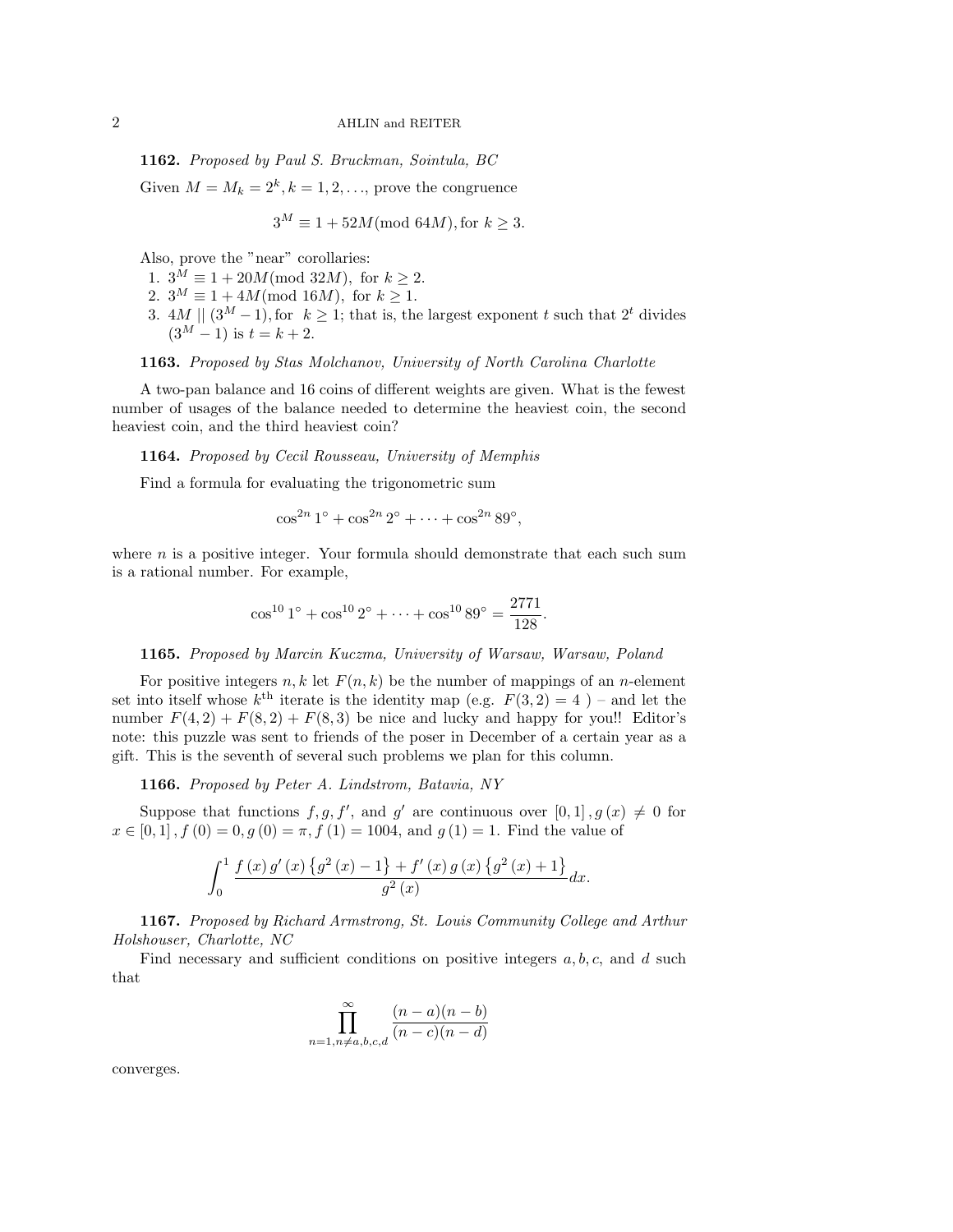# 2 AHLIN and REITER

1162. Proposed by Paul S. Bruckman, Sointula, BC

Given  $M = M_k = 2^k, k = 1, 2, \dots$ , prove the congruence

$$
3^M \equiv 1 + 52M \text{(mod } 64M), \text{for } k \ge 3.
$$

Also, prove the "near" corollaries:

- 1.  $3^M \equiv 1 + 20M \pmod{32M}$ , for  $k \ge 2$ .
- 2.  $3^M \equiv 1 + 4M \pmod{16M}$ , for  $k \geq 1$ .
- 3. 4M  $\| (3^M 1)$ , for  $k \ge 1$ ; that is, the largest exponent t such that  $2^t$  divides  $(3^M - 1)$  is  $t = k + 2$ .

# 1163. Proposed by Stas Molchanov, University of North Carolina Charlotte

A two-pan balance and 16 coins of different weights are given. What is the fewest number of usages of the balance needed to determine the heaviest coin, the second heaviest coin, and the third heaviest coin?

### 1164. Proposed by Cecil Rousseau, University of Memphis

Find a formula for evaluating the trigonometric sum

$$
\cos^{2n} 1^{\circ} + \cos^{2n} 2^{\circ} + \cdots + \cos^{2n} 89^{\circ},
$$

where  $n$  is a positive integer. Your formula should demonstrate that each such sum is a rational number. For example,

$$
\cos^{10} 1^{\circ} + \cos^{10} 2^{\circ} + \dots + \cos^{10} 89^{\circ} = \frac{2771}{128}.
$$

### 1165. Proposed by Marcin Kuczma, University of Warsaw, Warsaw, Poland

For positive integers n, k let  $F(n, k)$  be the number of mappings of an n-element set into itself whose  $k^{\text{th}}$  iterate is the identity map (e.g.  $F(3,2) = 4$ ) – and let the number  $F(4,2) + F(8,2) + F(8,3)$  be nice and lucky and happy for you!! Editor's note: this puzzle was sent to friends of the poser in December of a certain year as a gift. This is the seventh of several such problems we plan for this column.

1166. Proposed by Peter A. Lindstrom, Batavia, NY

Suppose that functions  $f, g, f'$ , and g' are continuous over  $[0, 1], g(x) \neq 0$  for  $x \in [0,1], f(0) = 0, g(0) = \pi, f(1) = 1004$ , and  $g(1) = 1$ . Find the value of

$$
\int_0^1 \frac{f(x) g'(x) \{g^2(x) - 1\} + f'(x) g(x) \{g^2(x) + 1\}}{g^2(x)} dx.
$$

1167. Proposed by Richard Armstrong, St. Louis Community College and Arthur Holshouser, Charlotte, NC

Find necessary and sufficient conditions on positive integers  $a, b, c$ , and  $d$  such that

$$
\prod_{n=1, n \neq a, b, c, d}^{\infty} \frac{(n-a)(n-b)}{(n-c)(n-d)}
$$

converges.